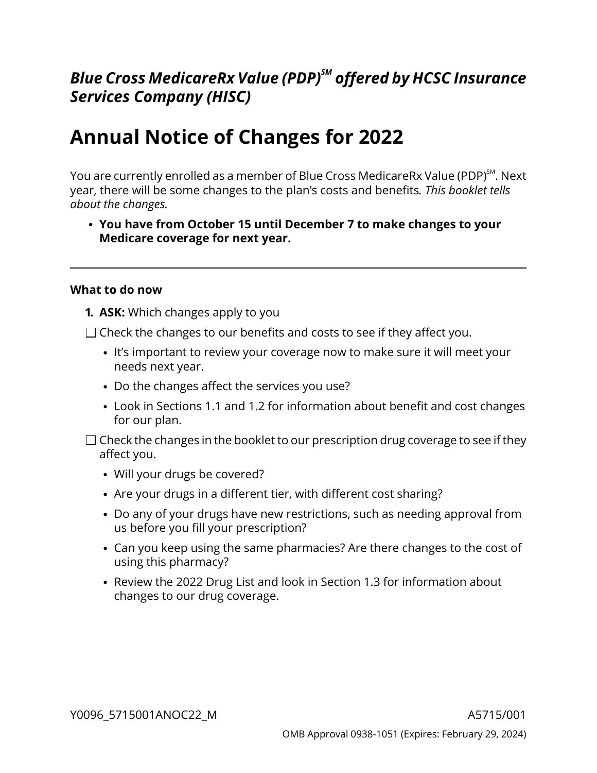## *Blue Cross MedicareRx Value (PDP)SM offered by HCSC Insurance Services Company (HISC)*

# **Annual Notice of Changes for 2022**

You are currently enrolled as a member of Blue Cross MedicareRx Value (PDP)<sup>sм</sup>. Next year, there will be some changes to the plan's costs and benefits*. This booklet tells about the changes.*

**You have from October 15 until December 7 to make changes to your Medicare coverage for next year.**

#### **What to do now**

- **1. ASK:** Which changes apply to you
- $\Box$  Check the changes to our benefits and costs to see if they affect you.
	- It's important to review your coverage now to make sure it will meet your needs next year.
	- Do the changes affect the services you use?
	- Look in Sections [1.1](#page-6-0) and [1.2](#page-6-1) for information about benefit and cost changes for our plan.
- $\Box$  Check the changes in the booklet to our prescription drug coverage to see if they affect you.
	- Will your drugs be covered?
	- Are your drugs in a different tier, with different cost sharing?
	- Do any of your drugs have new restrictions, such as needing approval from us before you fill your prescription?
	- Can you keep using the same pharmacies? Are there changes to the cost of using this pharmacy?
	- Review the 2022 Drug List and look in Section [1.3](#page-7-0) for information about changes to our drug coverage.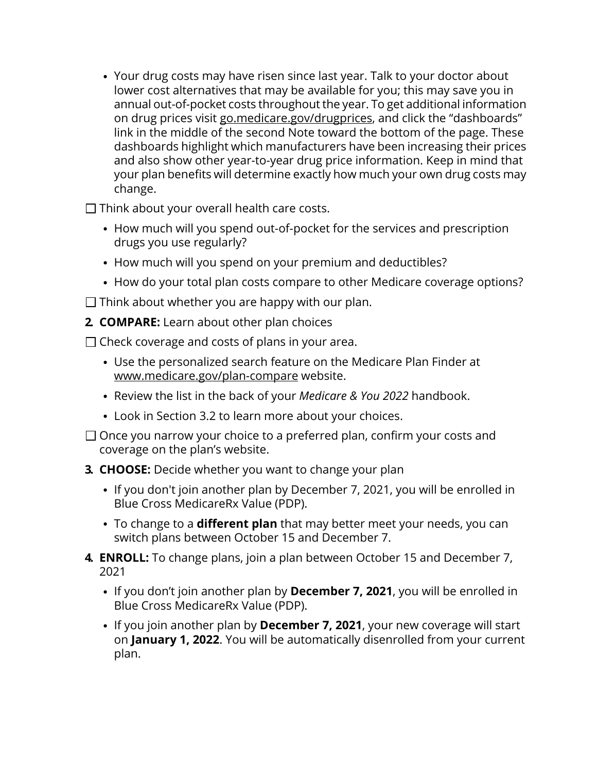Your drug costs may have risen since last year. Talk to your doctor about lower cost alternatives that may be available for you; this may save you in annual out-of-pocket costs throughout the year. To get additional information on drug prices visit [go.medicare.gov/drugprices,](https://go.medicare.gov/drugprices) and click the "dashboards" link in the middle of the second Note toward the bottom of the page. These dashboards highlight which manufacturers have been increasing their prices and also show other year-to-year drug price information. Keep in mind that your plan benefits will determine exactly how much your own drug costs may change.

 $\Box$  Think about your overall health care costs.

- How much will you spend out-of-pocket for the services and prescription drugs you use regularly?
- How much will you spend on your premium and deductibles?
- How do your total plan costs compare to other Medicare coverage options?

 $\Box$  Think about whether you are happy with our plan.

**2. COMPARE:** Learn about other plan choices

 $\Box$  Check coverage and costs of plans in your area.

- Use the personalized search feature on the Medicare Plan Finder at [www.medicare.gov/plan-compare](http://www.medicare.gov/plan-compare) website.
- Review the list in the back of your *Medicare & You 2022* handbook.
- Look in Section [3.2](#page-12-0) to learn more about your choices.
- $\Box$  Once you narrow your choice to a preferred plan, confirm your costs and coverage on the plan's website.
- **3. CHOOSE:** Decide whether you want to change your plan
	- If you don't join another plan by December 7, 2021, you will be enrolled in Blue Cross MedicareRx Value (PDP).
	- To change to a **different plan** that may better meet your needs, you can switch plans between October 15 and December 7.
- **4. ENROLL:** To change plans, join a plan between October 15 and December 7, 2021
	- If you don't join another plan by **December 7, 2021**, you will be enrolled in Blue Cross MedicareRx Value (PDP).
	- If you join another plan by **December 7, 2021**, your new coverage will start on **January 1, 2022**. You will be automatically disenrolled from your current plan.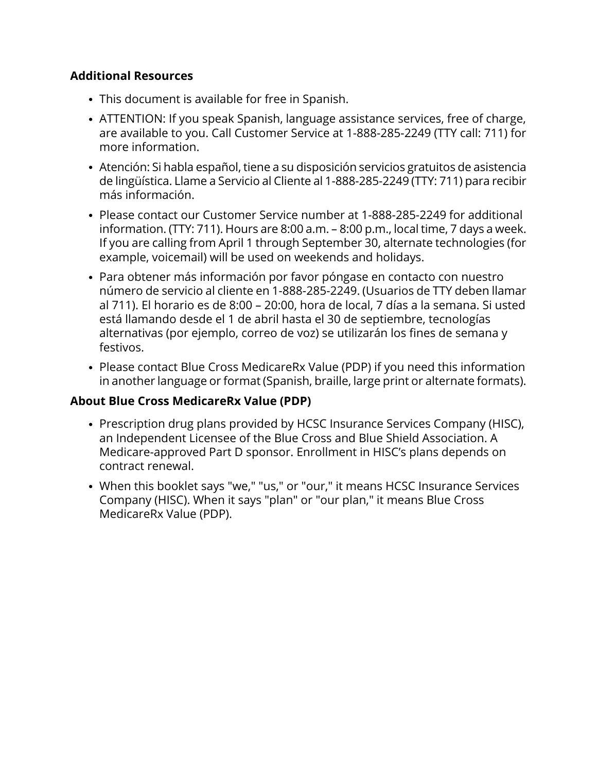#### **Additional Resources**

- This document is available for free in Spanish.
- ATTENTION: If you speak Spanish, language assistance services, free of charge, are available to you. Call Customer Service at 1-888-285-2249 (TTY call: 711) for more information.
- Atención: Si habla español, tiene a su disposición servicios gratuitos de asistencia de lingüística. Llame a Servicio al Cliente al 1-888-285-2249 (TTY: 711) para recibir más información.
- Please contact our Customer Service number at 1-888-285-2249 for additional information. (TTY: 711). Hours are 8:00 a.m. – 8:00 p.m., local time, 7 days a week. If you are calling from April 1 through September 30, alternate technologies (for example, voicemail) will be used on weekends and holidays.
- Para obtener más información por favor póngase en contacto con nuestro número de servicio al cliente en 1-888-285-2249. (Usuarios de TTY deben llamar al 711). El horario es de 8:00 – 20:00, hora de local, 7 días a la semana. Si usted está llamando desde el 1 de abril hasta el 30 de septiembre, tecnologías alternativas (por ejemplo, correo de voz) se utilizarán los fines de semana y festivos.
- Please contact Blue Cross MedicareRx Value (PDP) if you need this information in another language or format (Spanish, braille, large print or alternate formats).

## **About Blue Cross MedicareRx Value (PDP)**

- Prescription drug plans provided by HCSC Insurance Services Company (HISC), an Independent Licensee of the Blue Cross and Blue Shield Association. A Medicare-approved Part D sponsor. Enrollment in HISC's plans depends on contract renewal.
- When this booklet says "we," "us," or "our," it means HCSC Insurance Services Company (HISC). When it says "plan" or "our plan," it means Blue Cross MedicareRx Value (PDP).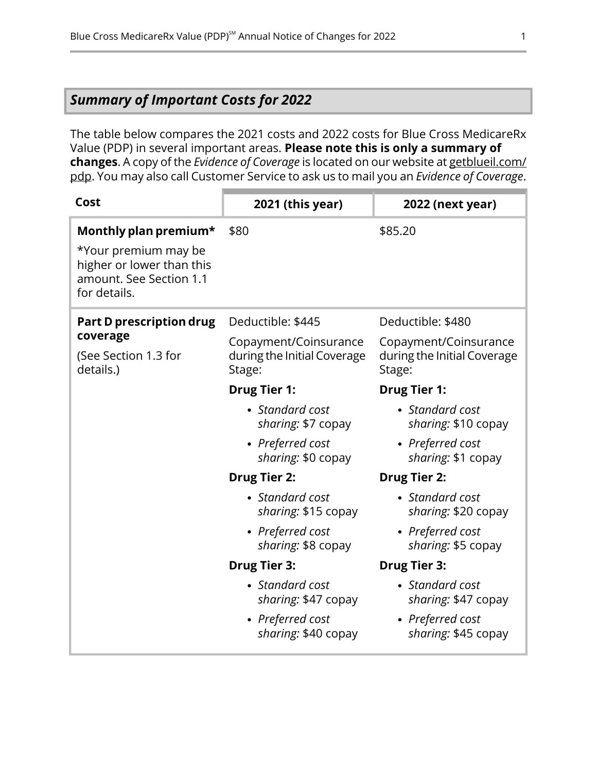## <span id="page-3-0"></span>*Summary of Important Costs for 2022*

The table below compares the 2021 costs and 2022 costs for Blue Cross MedicareRx Value (PDP) in several important areas. **Please note this is only a summary of changes**. A copy of the *Evidence of Coverage* is located on our website at [getblueil.com/](https://www.bcbsil.com/medicare/blue-cross-medicare-options/part-d-plans) [pdp](https://www.bcbsil.com/medicare/blue-cross-medicare-options/part-d-plans). You may also call Customer Service to ask us to mail you an *Evidence of Coverage*.

| Cost                                                                                                                  | 2021 (this year)                                               | <b>2022 (next year)</b>                                        |
|-----------------------------------------------------------------------------------------------------------------------|----------------------------------------------------------------|----------------------------------------------------------------|
| Monthly plan premium*<br>*Your premium may be<br>higher or lower than this<br>amount. See Section 1.1<br>for details. | \$80                                                           | \$85.20                                                        |
| Part D prescription drug<br>coverage                                                                                  | Deductible: \$445                                              | Deductible: \$480                                              |
| (See Section 1.3 for<br>details.)                                                                                     | Copayment/Coinsurance<br>during the Initial Coverage<br>Stage: | Copayment/Coinsurance<br>during the Initial Coverage<br>Stage: |
|                                                                                                                       | <b>Drug Tier 1:</b>                                            | <b>Drug Tier 1:</b>                                            |
|                                                                                                                       | • Standard cost<br>sharing: \$7 copay                          | • Standard cost<br>sharing: \$10 copay                         |
|                                                                                                                       | • Preferred cost<br>sharing: \$0 copay                         | • Preferred cost<br>sharing: \$1 copay                         |
|                                                                                                                       | <b>Drug Tier 2:</b>                                            | <b>Drug Tier 2:</b>                                            |
|                                                                                                                       | • Standard cost<br>sharing: \$15 copay                         | • Standard cost<br>sharing: \$20 copay                         |
|                                                                                                                       | • Preferred cost<br>sharing: \$8 copay                         | • Preferred cost<br>sharing: \$5 copay                         |
|                                                                                                                       | <b>Drug Tier 3:</b>                                            | <b>Drug Tier 3:</b>                                            |
|                                                                                                                       | • Standard cost<br>sharing: \$47 copay                         | • Standard cost<br>sharing: \$47 copay                         |
|                                                                                                                       | • Preferred cost<br>sharing: \$40 copay                        | • Preferred cost<br>sharing: \$45 copay                        |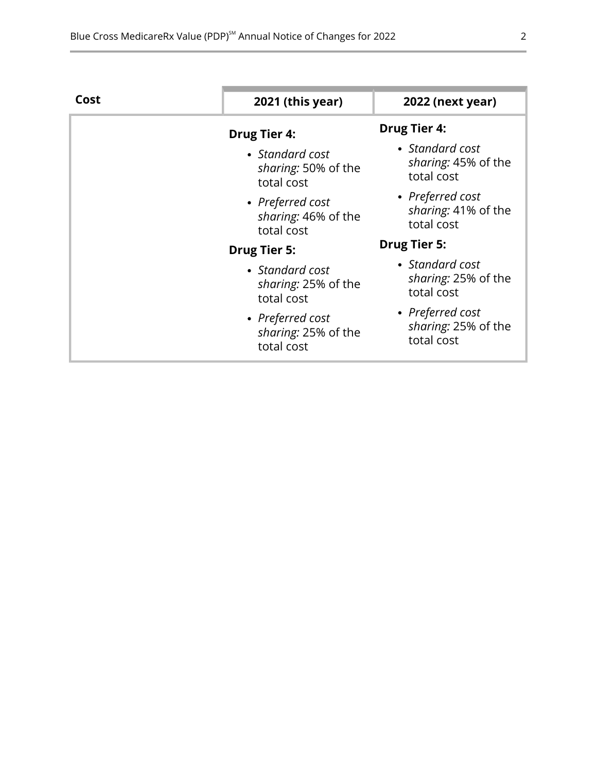| Cost | 2021 (this year)                                      | <b>2022 (next year)</b>                               |
|------|-------------------------------------------------------|-------------------------------------------------------|
|      | <b>Drug Tier 4:</b>                                   | <b>Drug Tier 4:</b>                                   |
|      | • Standard cost<br>sharing: 50% of the<br>total cost  | • Standard cost<br>sharing: 45% of the<br>total cost  |
|      | • Preferred cost<br>sharing: 46% of the<br>total cost | • Preferred cost<br>sharing: 41% of the<br>total cost |
|      | <b>Drug Tier 5:</b>                                   | <b>Drug Tier 5:</b>                                   |
|      | • Standard cost<br>sharing: 25% of the<br>total cost  | • Standard cost<br>sharing: 25% of the<br>total cost  |
|      | • Preferred cost<br>sharing: 25% of the<br>total cost | • Preferred cost<br>sharing: 25% of the<br>total cost |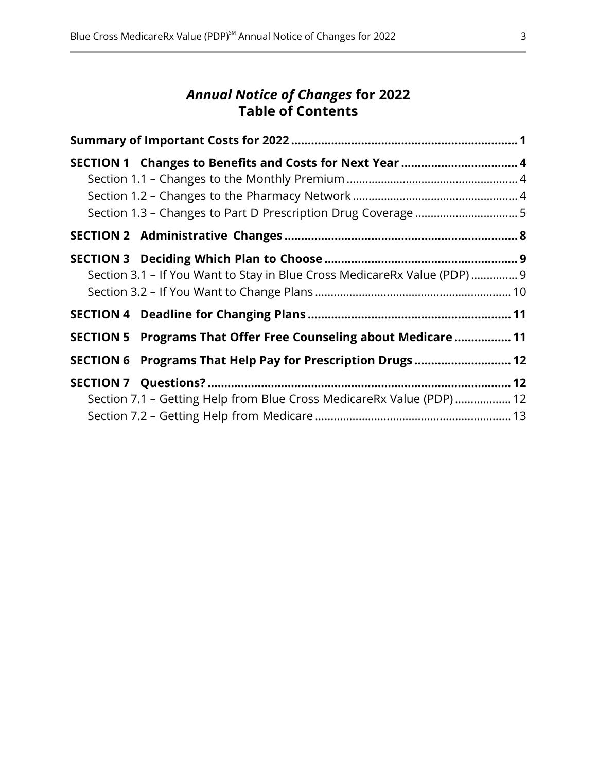## *Annual Notice of Changes* **for 2022 Table of Contents**

| SECTION 1 Changes to Benefits and Costs for Next Year  4                  |  |
|---------------------------------------------------------------------------|--|
|                                                                           |  |
|                                                                           |  |
| Section 3.1 - If You Want to Stay in Blue Cross MedicareRx Value (PDP)  9 |  |
|                                                                           |  |
| SECTION 5 Programs That Offer Free Counseling about Medicare  11          |  |
| SECTION 6 Programs That Help Pay for Prescription Drugs  12               |  |
| Section 7.1 - Getting Help from Blue Cross MedicareRx Value (PDP)  12     |  |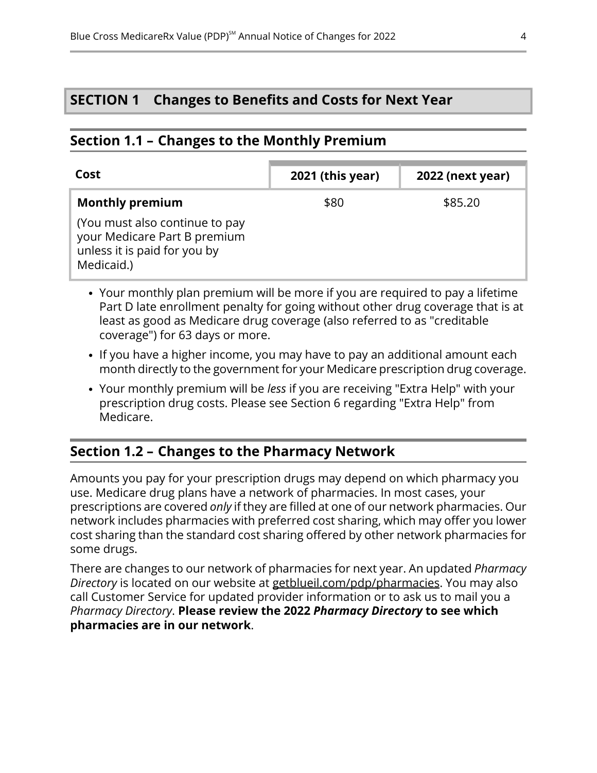## <span id="page-6-2"></span>**SECTION 1 Changes to Benefits and Costs for Next Year**

#### <span id="page-6-0"></span>**Section 1.1 – Changes to the Monthly Premium**

| Cost                                                                                                         | 2021 (this year) | 2022 (next year) |
|--------------------------------------------------------------------------------------------------------------|------------------|------------------|
| <b>Monthly premium</b>                                                                                       | \$80             | \$85.20          |
| (You must also continue to pay<br>your Medicare Part B premium<br>unless it is paid for you by<br>Medicaid.) |                  |                  |

- Your monthly plan premium will be more if you are required to pay a lifetime Part D late enrollment penalty for going without other drug coverage that is at least as good as Medicare drug coverage (also referred to as "creditable coverage") for 63 days or more.
- If you have a higher income, you may have to pay an additional amount each month directly to the government for your Medicare prescription drug coverage.
- <span id="page-6-1"></span>Your monthly premium will be *less* if you are receiving "Extra Help" with your prescription drug costs. Please see Section [6](#page-14-0) regarding "Extra Help" from Medicare.

## **Section 1.2 – Changes to the Pharmacy Network**

l

Amounts you pay for your prescription drugs may depend on which pharmacy you use. Medicare drug plans have a network of pharmacies. In most cases, your prescriptions are covered *only* if they are filled at one of our network pharmacies. Our network includes pharmacies with preferred cost sharing, which may offer you lower cost sharing than the standard cost sharing offered by other network pharmacies for some drugs.

There are changes to our network of pharmacies for next year. An updated *Pharmacy Directory* is located on our website at [getblueil.com/pdp/pharmacies](https://www.bcbsil.com/medicare/blue-cross-medicare-options/part-d-plans/using-your-plan/pharmacies). You may also call Customer Service for updated provider information or to ask us to mail you a *Pharmacy Directory*. **Please review the 2022** *Pharmacy Directory* **to see which pharmacies are in our network**.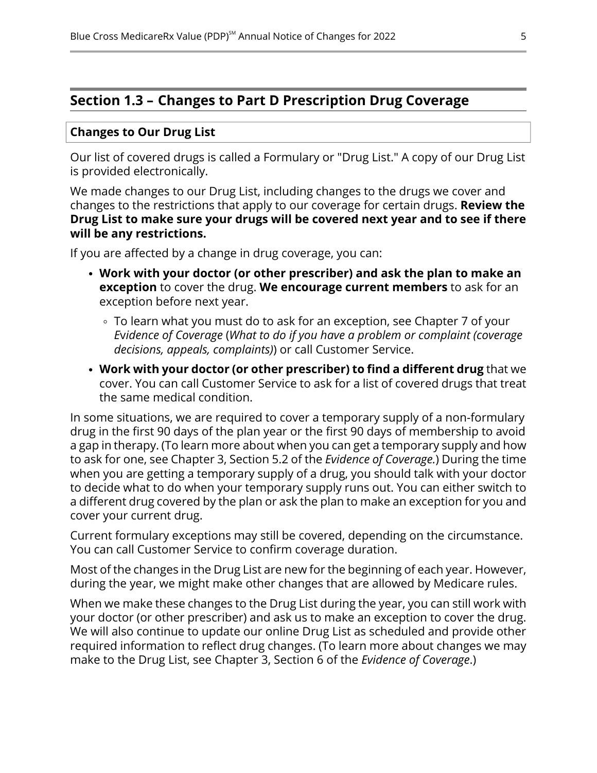## <span id="page-7-0"></span>**Section 1.3 – Changes to Part D Prescription Drug Coverage**

#### **Changes to Our Drug List**

Our list of covered drugs is called a Formulary or "Drug List." A copy of our Drug List is provided electronically.

We made changes to our Drug List, including changes to the drugs we cover and changes to the restrictions that apply to our coverage for certain drugs. **Review the Drug List to make sure your drugs will be covered next year and to see if there will be any restrictions.**

If you are affected by a change in drug coverage, you can:

- **Work with your doctor (or other prescriber) and ask the plan to make an exception** to cover the drug. **We encourage current members** to ask for an exception before next year.
	- To learn what you must do to ask for an exception, see Chapter 7 of your *E*v*idence of Coverage* (*What to do if you have a problem or complaint (coverage decisions, appeals, complaints)*) or call Customer Service.
- **Work with your doctor (or other prescriber) to find a different drug** that we cover. You can call Customer Service to ask for a list of covered drugs that treat the same medical condition.

In some situations, we are required to cover a temporary supply of a non-formulary drug in the first 90 days of the plan year or the first 90 days of membership to avoid a gap in therapy. (To learn more about when you can get a temporary supply and how to ask for one, see Chapter 3, Section 5.2 of the *Evidence of Coverage.*) During the time when you are getting a temporary supply of a drug, you should talk with your doctor to decide what to do when your temporary supply runs out. You can either switch to a different drug covered by the plan or ask the plan to make an exception for you and cover your current drug.

Current formulary exceptions may still be covered, depending on the circumstance. You can call Customer Service to confirm coverage duration.

Most of the changes in the Drug List are new for the beginning of each year. However, during the year, we might make other changes that are allowed by Medicare rules.

When we make these changes to the Drug List during the year, you can still work with your doctor (or other prescriber) and ask us to make an exception to cover the drug. We will also continue to update our online Drug List as scheduled and provide other required information to reflect drug changes. (To learn more about changes we may make to the Drug List, see Chapter 3, Section 6 of the *Evidence of Coverage*.)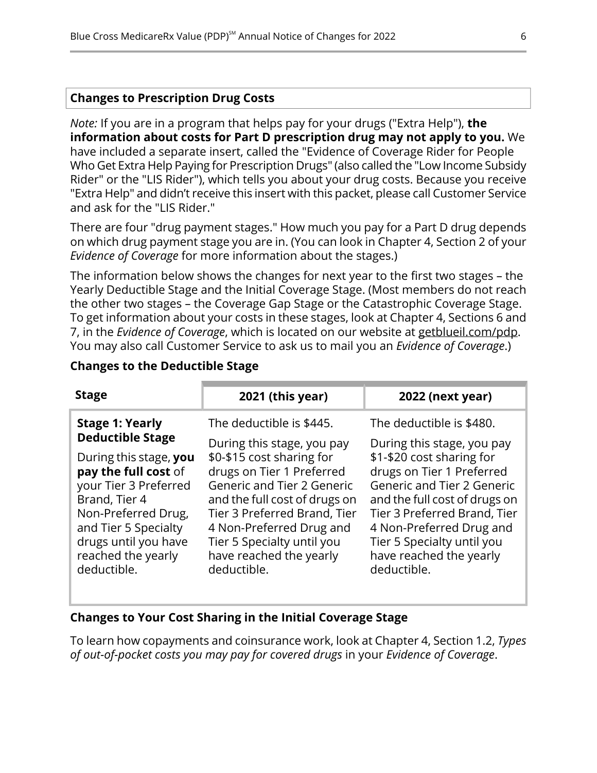#### **Changes to Prescription Drug Costs**

*Note:* If you are in a program that helps pay for your drugs ("Extra Help"), **the information about costs for Part D prescription drug may not apply to you.** We have included a separate insert, called the "Evidence of Coverage Rider for People Who Get Extra Help Paying for Prescription Drugs" (also called the "Low Income Subsidy Rider" or the "LIS Rider"), which tells you about your drug costs. Because you receive "Extra Help" and didn't receive this insert with this packet, please call Customer Service and ask for the "LIS Rider."

There are four "drug payment stages." How much you pay for a Part D drug depends on which drug payment stage you are in. (You can look in Chapter 4, Section 2 of your *Evidence of Coverage* for more information about the stages.)

The information below shows the changes for next year to the first two stages – the Yearly Deductible Stage and the Initial Coverage Stage. (Most members do not reach the other two stages – the Coverage Gap Stage or the Catastrophic Coverage Stage. To get information about your costs in these stages, look at Chapter 4, Sections 6 and 7, in the *Evidence of Coverage*, which is located on our website at [getblueil.com/pdp](https://www.bcbsil.com/medicare/blue-cross-medicare-options/part-d-plans). You may also call Customer Service to ask us to mail you an *Evidence of Coverage*.)

| <b>Stage</b>            | 2021 (this year)              | <b>2022 (next year)</b>       |
|-------------------------|-------------------------------|-------------------------------|
| <b>Stage 1: Yearly</b>  | The deductible is \$445.      | The deductible is \$480.      |
| <b>Deductible Stage</b> | During this stage, you pay    | During this stage, you pay    |
| During this stage, you  | \$0-\$15 cost sharing for     | \$1-\$20 cost sharing for     |
| pay the full cost of    | drugs on Tier 1 Preferred     | drugs on Tier 1 Preferred     |
| your Tier 3 Preferred   | Generic and Tier 2 Generic    | Generic and Tier 2 Generic    |
| Brand, Tier 4           | and the full cost of drugs on | and the full cost of drugs on |
| Non-Preferred Drug,     | Tier 3 Preferred Brand, Tier  | Tier 3 Preferred Brand, Tier  |
| and Tier 5 Specialty    | 4 Non-Preferred Drug and      | 4 Non-Preferred Drug and      |
| drugs until you have    | Tier 5 Specialty until you    | Tier 5 Specialty until you    |
| reached the yearly      | have reached the yearly       | have reached the yearly       |
| deductible.             | deductible.                   | deductible.                   |

#### **Changes to the Deductible Stage**

#### **Changes to Your Cost Sharing in the Initial Coverage Stage**

To learn how copayments and coinsurance work, look at Chapter 4, Section 1.2, *Types of out-of-pocket costs you may pay for covered drugs* in your *Evidence of Coverage*.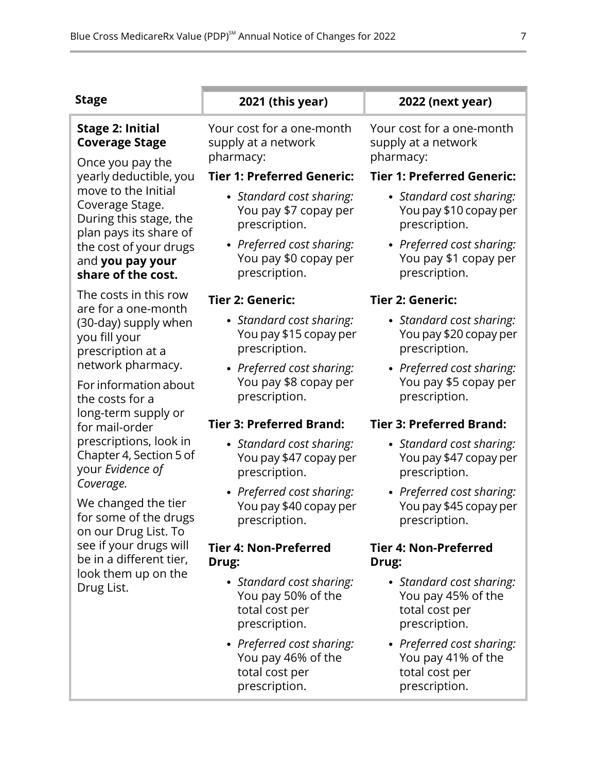| <b>Stage</b>                                                                                                                                                                                | 2021 (this year)                                                                   | 2022 (next year)                                                                   |
|---------------------------------------------------------------------------------------------------------------------------------------------------------------------------------------------|------------------------------------------------------------------------------------|------------------------------------------------------------------------------------|
| <b>Stage 2: Initial</b><br><b>Coverage Stage</b>                                                                                                                                            | Your cost for a one-month<br>supply at a network<br>pharmacy:                      | Your cost for a one-month<br>supply at a network<br>pharmacy:                      |
| Once you pay the<br>yearly deductible, you                                                                                                                                                  | <b>Tier 1: Preferred Generic:</b>                                                  | <b>Tier 1: Preferred Generic:</b>                                                  |
| move to the Initial<br>Coverage Stage.<br>During this stage, the                                                                                                                            | • Standard cost sharing:<br>You pay \$7 copay per<br>prescription.                 | • Standard cost sharing:<br>You pay \$10 copay per<br>prescription.                |
| plan pays its share of<br>the cost of your drugs<br>and you pay your<br>share of the cost.                                                                                                  | • Preferred cost sharing:<br>You pay \$0 copay per<br>prescription.                | • Preferred cost sharing:<br>You pay \$1 copay per<br>prescription.                |
| The costs in this row                                                                                                                                                                       | Tier 2: Generic:                                                                   | Tier 2: Generic:                                                                   |
| are for a one-month<br>(30-day) supply when<br>you fill your<br>prescription at a<br>network pharmacy.<br>For information about<br>the costs for a<br>long-term supply or<br>for mail-order | • Standard cost sharing:<br>You pay \$15 copay per<br>prescription.                | • Standard cost sharing:<br>You pay \$20 copay per<br>prescription.                |
|                                                                                                                                                                                             | • Preferred cost sharing:<br>You pay \$8 copay per<br>prescription.                | • Preferred cost sharing:<br>You pay \$5 copay per<br>prescription.                |
|                                                                                                                                                                                             | <b>Tier 3: Preferred Brand:</b>                                                    | <b>Tier 3: Preferred Brand:</b>                                                    |
| prescriptions, look in<br>Chapter 4, Section 5 of<br>your Evidence of                                                                                                                       | • Standard cost sharing:<br>You pay \$47 copay per<br>prescription.                | • Standard cost sharing:<br>You pay \$47 copay per<br>prescription.                |
| Coverage.<br>We changed the tier<br>for some of the drugs<br>on our Drug List. To<br>see if your drugs will<br>be in a different tier,<br>look them up on the<br>Drug List.                 | • Preferred cost sharing:<br>You pay \$40 copay per<br>prescription.               | • Preferred cost sharing:<br>You pay \$45 copay per<br>prescription.               |
|                                                                                                                                                                                             | <b>Tier 4: Non-Preferred</b><br>Drug:                                              | <b>Tier 4: Non-Preferred</b><br>Drug:                                              |
|                                                                                                                                                                                             | • Standard cost sharing:<br>You pay 50% of the<br>total cost per<br>prescription.  | • Standard cost sharing:<br>You pay 45% of the<br>total cost per<br>prescription.  |
|                                                                                                                                                                                             | • Preferred cost sharing:<br>You pay 46% of the<br>total cost per<br>prescription. | • Preferred cost sharing:<br>You pay 41% of the<br>total cost per<br>prescription. |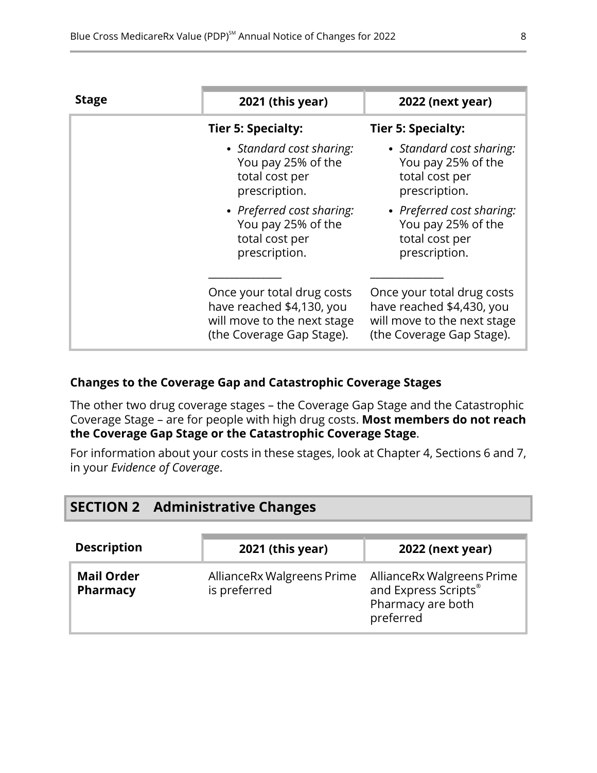| <b>Stage</b> | 2021 (this year)                                                                                                    | <b>2022 (next year)</b>                                                                                             |
|--------------|---------------------------------------------------------------------------------------------------------------------|---------------------------------------------------------------------------------------------------------------------|
|              | Tier 5: Specialty:                                                                                                  | <b>Tier 5: Specialty:</b>                                                                                           |
|              | • Standard cost sharing:<br>You pay 25% of the<br>total cost per<br>prescription.                                   | • Standard cost sharing:<br>You pay 25% of the<br>total cost per<br>prescription.                                   |
|              | • Preferred cost sharing:<br>You pay 25% of the<br>total cost per<br>prescription.                                  | • Preferred cost sharing:<br>You pay 25% of the<br>total cost per<br>prescription.                                  |
|              | Once your total drug costs<br>have reached \$4,130, you<br>will move to the next stage<br>(the Coverage Gap Stage). | Once your total drug costs<br>have reached \$4,430, you<br>will move to the next stage<br>(the Coverage Gap Stage). |

#### **Changes to the Coverage Gap and Catastrophic Coverage Stages**

The other two drug coverage stages – the Coverage Gap Stage and the Catastrophic Coverage Stage – are for people with high drug costs. **Most members do not reach the Coverage Gap Stage or the Catastrophic Coverage Stage**.

<span id="page-10-0"></span>For information about your costs in these stages, look at Chapter 4, Sections 6 and 7, in your *Evidence of Coverage*.

|                                      | <b>SECTION 2 Administrative Changes</b> |                                            |                                                                                      |
|--------------------------------------|-----------------------------------------|--------------------------------------------|--------------------------------------------------------------------------------------|
| <b>Description</b>                   |                                         | 2021 (this year)                           | <b>2022 (next year)</b>                                                              |
| <b>Mail Order</b><br><b>Pharmacy</b> |                                         | AllianceRx Walgreens Prime<br>is preferred | AllianceRx Walgreens Prime<br>and Express Scripts®<br>Pharmacy are both<br>preferred |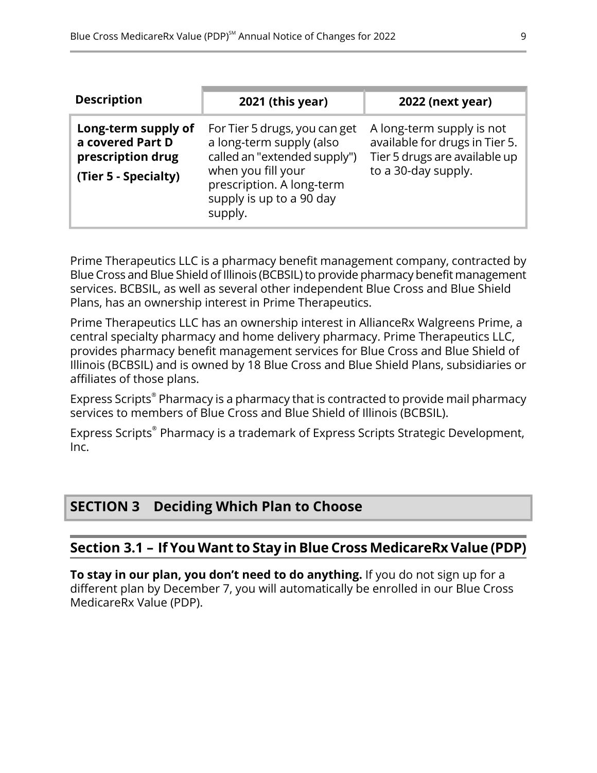| <b>Description</b>                                                                   | 2021 (this year)                                                                                                                                                                    | 2022 (next year)                                                                                                    |
|--------------------------------------------------------------------------------------|-------------------------------------------------------------------------------------------------------------------------------------------------------------------------------------|---------------------------------------------------------------------------------------------------------------------|
| Long-term supply of<br>a covered Part D<br>prescription drug<br>(Tier 5 - Specialty) | For Tier 5 drugs, you can get<br>a long-term supply (also<br>called an "extended supply")<br>when you fill your<br>prescription. A long-term<br>supply is up to a 90 day<br>supply. | A long-term supply is not<br>available for drugs in Tier 5.<br>Tier 5 drugs are available up<br>to a 30-day supply. |

Prime Therapeutics LLC is a pharmacy benefit management company, contracted by Blue Cross and Blue Shield of Illinois (BCBSIL) to provide pharmacy benefit management services. BCBSIL, as well as several other independent Blue Cross and Blue Shield Plans, has an ownership interest in Prime Therapeutics.

Prime Therapeutics LLC has an ownership interest in AllianceRx Walgreens Prime, a central specialty pharmacy and home delivery pharmacy. Prime Therapeutics LLC, provides pharmacy benefit management services for Blue Cross and Blue Shield of Illinois (BCBSIL) and is owned by 18 Blue Cross and Blue Shield Plans, subsidiaries or affiliates of those plans.

Express Scripts® Pharmacy is a pharmacy that is contracted to provide mail pharmacy services to members of Blue Cross and Blue Shield of Illinois (BCBSIL).

<span id="page-11-0"></span>Express Scripts® Pharmacy is a trademark of Express Scripts Strategic Development, Inc.

## <span id="page-11-1"></span>**SECTION 3 Deciding Which Plan to Choose**

## **Section 3.1 – If You Want to Stay in Blue Cross MedicareRx Value (PDP)**

**To stay in our plan, you don't need to do anything.** If you do not sign up for a different plan by December 7, you will automatically be enrolled in our Blue Cross MedicareRx Value (PDP).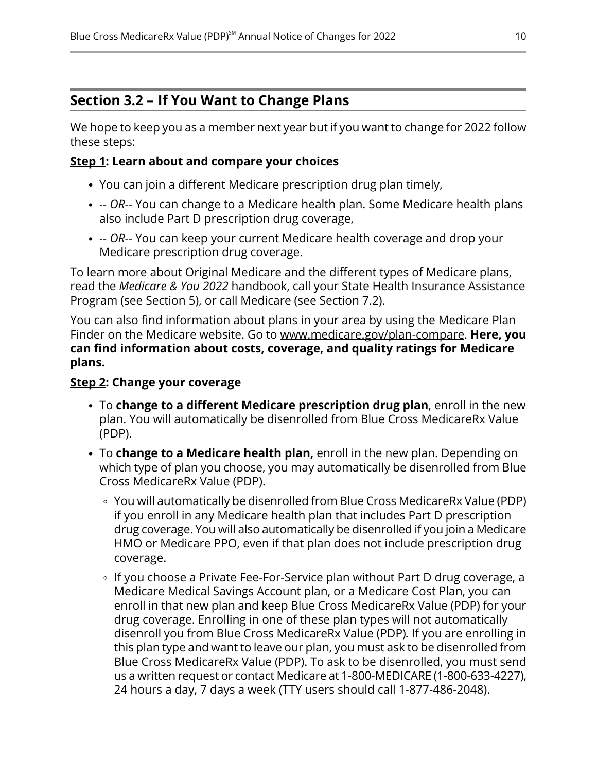## <span id="page-12-0"></span>**Section 3.2 – If You Want to Change Plans**

We hope to keep you as a member next year but if you want to change for 2022 follow these steps:

#### **Step 1: Learn about and compare your choices**

- You can join a different Medicare prescription drug plan timely,
- *-- OR*-- You can change to a Medicare health plan. Some Medicare health plans also include Part D prescription drug coverage,
- *-- OR*-- You can keep your current Medicare health coverage and drop your Medicare prescription drug coverage.

To learn more about Original Medicare and the different types of Medicare plans, read the *Medicare & You 2022* handbook, call your State Health Insurance Assistance Program (see Section [5](#page-13-1)), or call Medicare (see Section [7.2\)](#page-15-0).

You can also find information about plans in your area by using the Medicare Plan Finder on the Medicare website. Go to [www.medicare.gov/plan-compare](http://www.medicare.gov/plan-compare). **Here, you can find information about costs, coverage, and quality ratings for Medicare plans.**

#### **Step 2: Change your coverage**

- To **change to a different Medicare prescription drug plan**, enroll in the new plan. You will automatically be disenrolled from Blue Cross MedicareRx Value (PDP).
- To **change to a Medicare health plan,** enroll in the new plan. Depending on which type of plan you choose, you may automatically be disenrolled from Blue Cross MedicareRx Value (PDP).
	- You will automatically be disenrolled from Blue Cross MedicareRx Value (PDP) if you enroll in any Medicare health plan that includes Part D prescription drug coverage. You will also automatically be disenrolled if you join a Medicare HMO or Medicare PPO, even if that plan does not include prescription drug coverage.
	- ∘ If you choose a Private Fee-For-Service plan without Part D drug coverage, a Medicare Medical Savings Account plan, or a Medicare Cost Plan, you can enroll in that new plan and keep Blue Cross MedicareRx Value (PDP) for your drug coverage. Enrolling in one of these plan types will not automatically disenroll you from Blue Cross MedicareRx Value (PDP)*.* If you are enrolling in this plan type and want to leave our plan, you must ask to be disenrolled from Blue Cross MedicareRx Value (PDP). To ask to be disenrolled, you must send us a written request or contact Medicare at 1-800-MEDICARE (1-800-633-4227), 24 hours a day, 7 days a week (TTY users should call 1-877-486-2048).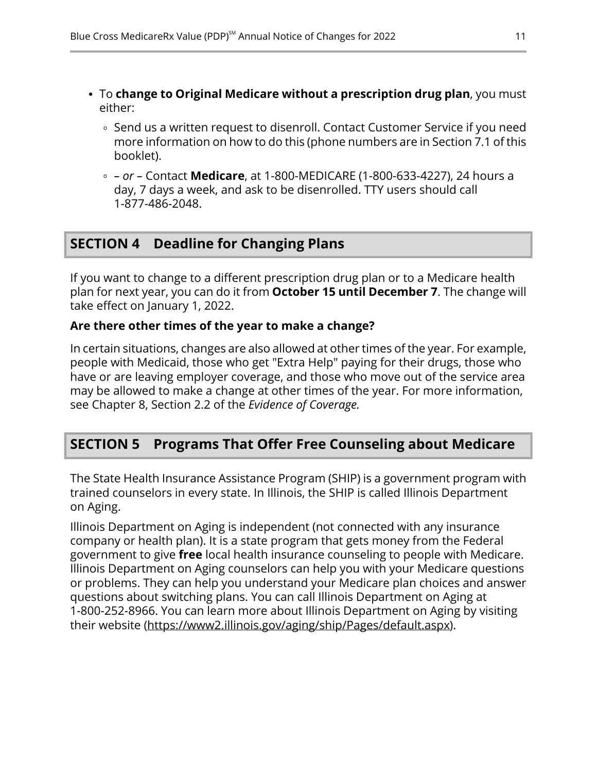- To **change to Original Medicare without a prescription drug plan**, you must either:
	- ∘ Send us a written request to disenroll. Contact Customer Service if you need more information on how to do this (phone numbers are in Section [7.1](#page-14-2) of this booklet).
	- *– or –* Contact **Medicare**, at 1-800-MEDICARE (1-800-633-4227), 24 hours a day, 7 days a week, and ask to be disenrolled. TTY users should call 1-877-486-2048.

## <span id="page-13-0"></span>**SECTION 4 Deadline for Changing Plans**

If you want to change to a different prescription drug plan or to a Medicare health plan for next year, you can do it from **October 15 until December 7**. The change will take effect on January 1, 2022.

#### **Are there other times of the year to make a change?**

In certain situations, changes are also allowed at other times of the year. For example, people with Medicaid, those who get "Extra Help" paying for their drugs, those who have or are leaving employer coverage, and those who move out of the service area may be allowed to make a change at other times of the year. For more information, see Chapter 8, Section 2.2 of the *Evidence of Coverage.*

## <span id="page-13-1"></span>**SECTION 5 Programs That Offer Free Counseling about Medicare**

The State Health Insurance Assistance Program (SHIP) is a government program with trained counselors in every state. In Illinois, the SHIP is called Illinois Department on Aging.

Illinois Department on Aging is independent (not connected with any insurance company or health plan). It is a state program that gets money from the Federal government to give **free** local health insurance counseling to people with Medicare. Illinois Department on Aging counselors can help you with your Medicare questions or problems. They can help you understand your Medicare plan choices and answer questions about switching plans. You can call Illinois Department on Aging at 1-800-252-8966. You can learn more about Illinois Department on Aging by visiting their website [\(https://www2.illinois.gov/aging/ship/Pages/default.aspx](https://www2.illinois.gov/aging/ship/Pages/default.aspx)).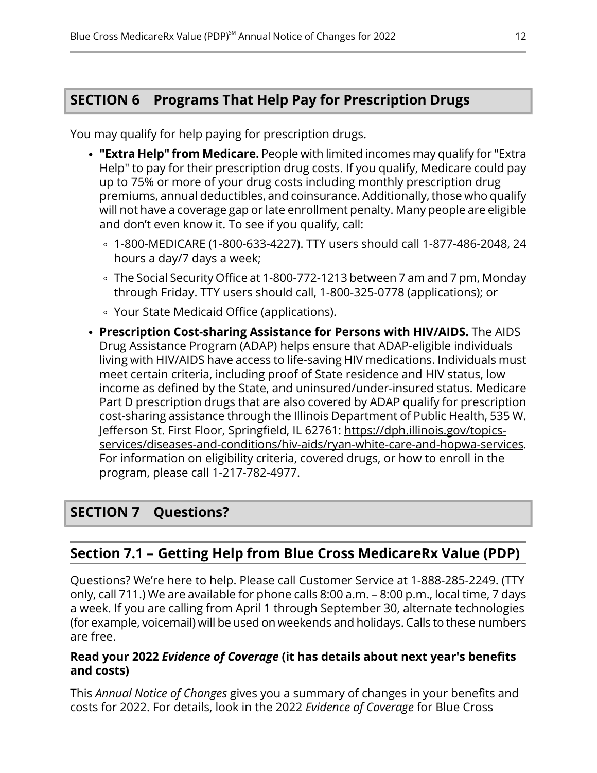## <span id="page-14-0"></span>**SECTION 6 Programs That Help Pay for Prescription Drugs**

You may qualify for help paying for prescription drugs.

- **"Extra Help" from Medicare.** People with limited incomes may qualify for "Extra Help" to pay for their prescription drug costs. If you qualify, Medicare could pay up to 75% or more of your drug costs including monthly prescription drug premiums, annual deductibles, and coinsurance. Additionally, those who qualify will not have a coverage gap or late enrollment penalty. Many people are eligible and don't even know it. To see if you qualify, call:
	- 1-800-MEDICARE (1-800-633-4227). TTY users should call 1-877-486-2048, 24 hours a day/7 days a week;
	- The Social Security Office at 1-800-772-1213 between 7 am and 7 pm, Monday through Friday. TTY users should call, 1-800-325-0778 (applications); or
	- Your State Medicaid Office (applications).
- **Prescription Cost-sharing Assistance for Persons with HIV/AIDS.** The AIDS Drug Assistance Program (ADAP) helps ensure that ADAP-eligible individuals living with HIV/AIDS have access to life-saving HIV medications. Individuals must meet certain criteria, including proof of State residence and HIV status, low income as defined by the State, and uninsured/under-insured status. Medicare Part D prescription drugs that are also covered by ADAP qualify for prescription cost-sharing assistance through the Illinois Department of Public Health, 535 W. Jefferson St. First Floor, Springfield, IL 62761: [https://dph.illinois.gov/topics](https://dph.illinois.gov/topics-services/diseases-and-conditions/hiv-aids/ryan-white-care-and-hopwa-services) [services/diseases-and-conditions/hiv-aids/ryan-white-care-and-hopwa-services.](https://dph.illinois.gov/topics-services/diseases-and-conditions/hiv-aids/ryan-white-care-and-hopwa-services) For information on eligibility criteria, covered drugs, or how to enroll in the program, please call 1-217-782-4977.

## <span id="page-14-2"></span><span id="page-14-1"></span>**SECTION 7 Questions?**

## **Section 7.1 – Getting Help from Blue Cross MedicareRx Value (PDP)**

Questions? We're here to help. Please call Customer Service at 1-888-285-2249. (TTY only, call 711.) We are available for phone calls 8:00 a.m. – 8:00 p.m., local time, 7 days a week. If you are calling from April 1 through September 30, alternate technologies (for example, voicemail) will be used on weekends and holidays. Calls to these numbers are free.

#### **Read your 2022** *Evidence of Coverage* **(it has details about next year's benefits and costs)**

This *Annual Notice of Changes* gives you a summary of changes in your benefits and costs for 2022. For details, look in the 2022 *Evidence of Coverage* for Blue Cross